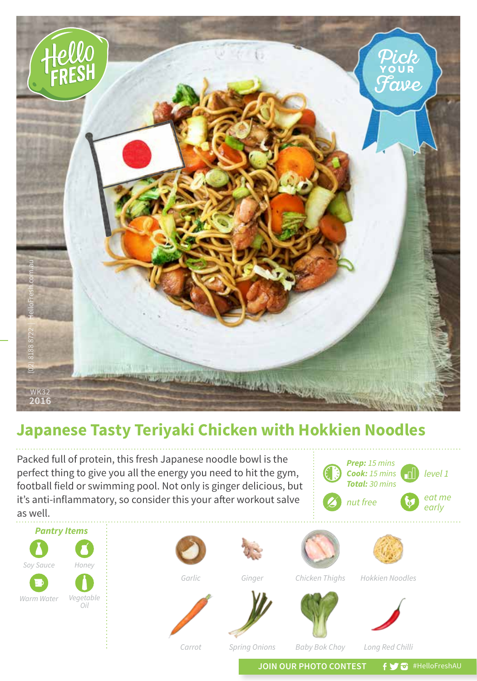

## **Japanese Tasty Teriyaki Chicken with Hokkien Noodles**

Packed full of protein, this fresh Japanese noodle bowl is the perfect thing to give you all the energy you need to hit the gym, football field or swimming pool. Not only is ginger delicious, but it's anti-inflammatory, so consider this your after workout salve as well.

*level 1 Prep: 15 mins Cook: 15 mins Total: 30 mins eat me*  nut free **by** early





*Garlic*

*Ginger*



*Hokkien Noodles*





*Baby Bok Choy*



*Carrot*

*Spring Onions*

*Long Red Chilli*

JOIN OUR PHOTO CONTEST **f y @** #HelloFreshAU